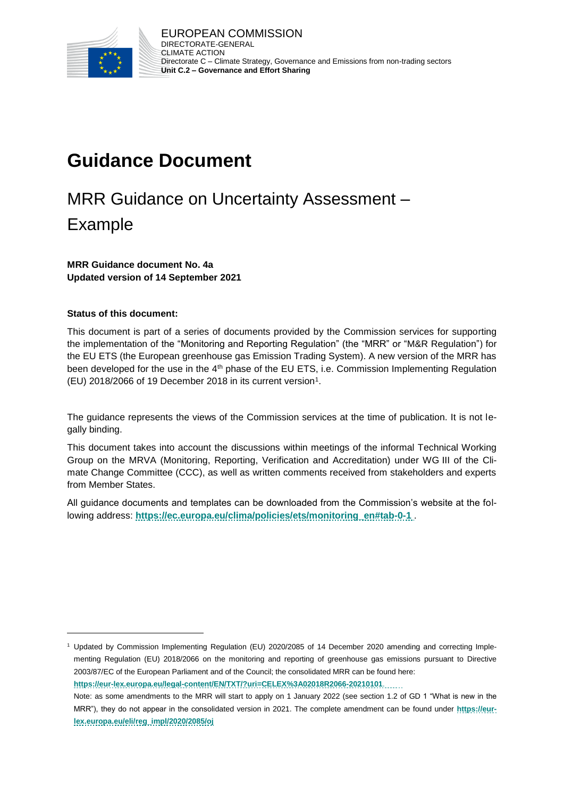

# **Guidance Document**

# MRR Guidance on Uncertainty Assessment – Example

**MRR Guidance document No. 4a Updated version of 14 September 2021**

#### **Status of this document:**

l

This document is part of a series of documents provided by the Commission services for supporting the implementation of the "Monitoring and Reporting Regulation" (the "MRR" or "M&R Regulation") for the EU ETS (the European greenhouse gas Emission Trading System). A new version of the MRR has been developed for the use in the 4<sup>th</sup> phase of the EU ETS, i.e. Commission Implementing Regulation (EU) 2018/2066 of 19 December 2018 in its current version<sup>1</sup>.

The guidance represents the views of the Commission services at the time of publication. It is not legally binding.

This document takes into account the discussions within meetings of the informal Technical Working Group on the MRVA (Monitoring, Reporting, Verification and Accreditation) under WG III of the Climate Change Committee (CCC), as well as written comments received from stakeholders and experts from Member States.

All guidance documents and templates can be downloaded from the Commission's website at the following address: **[https://ec.europa.eu/clima/policies/ets/monitoring\\_en#tab-0-1](https://ec.europa.eu/clima/policies/ets/monitoring_en#tab-0-1)** .

<sup>1</sup> Updated by Commission Implementing Regulation (EU) 2020/2085 of 14 December 2020 amending and correcting Implementing Regulation (EU) 2018/2066 on the monitoring and reporting of greenhouse gas emissions pursuant to Directive 2003/87/EC of the European Parliament and of the Council; the consolidated MRR can be found here:

**<https://eur-lex.europa.eu/legal-content/EN/TXT/?uri=CELEX%3A02018R2066-20210101>**.

Note: as some amendments to the MRR will start to apply on 1 January 2022 (see section 1.2 of GD 1 "What is new in the MRR"), they do not appear in the consolidated version in 2021. The complete amendment can be found under **[https://eur](https://eur-lex.europa.eu/eli/reg_impl/2020/2085/oj)[lex.europa.eu/eli/reg\\_impl/2020/2085/oj](https://eur-lex.europa.eu/eli/reg_impl/2020/2085/oj)**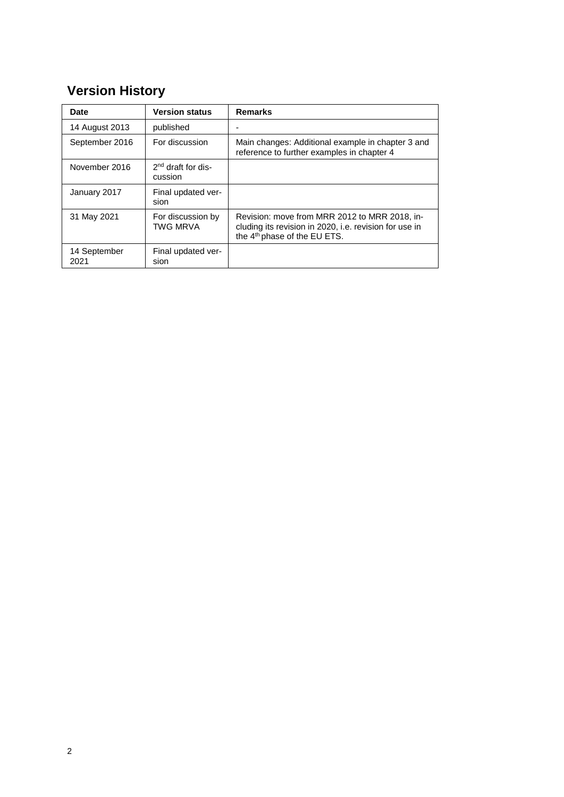## **Version History**

| Date                 | <b>Version status</b>                | <b>Remarks</b>                                                                                                                                      |
|----------------------|--------------------------------------|-----------------------------------------------------------------------------------------------------------------------------------------------------|
| 14 August 2013       | published                            |                                                                                                                                                     |
| September 2016       | For discussion                       | Main changes: Additional example in chapter 3 and<br>reference to further examples in chapter 4                                                     |
| November 2016        | $2nd$ draft for dis-<br>cussion      |                                                                                                                                                     |
| January 2017         | Final updated ver-<br>sion           |                                                                                                                                                     |
| 31 May 2021          | For discussion by<br><b>TWG MRVA</b> | Revision: move from MRR 2012 to MRR 2018, in-<br>cluding its revision in 2020, i.e. revision for use in<br>the 4 <sup>th</sup> phase of the EU ETS. |
| 14 September<br>2021 | Final updated ver-<br>sion           |                                                                                                                                                     |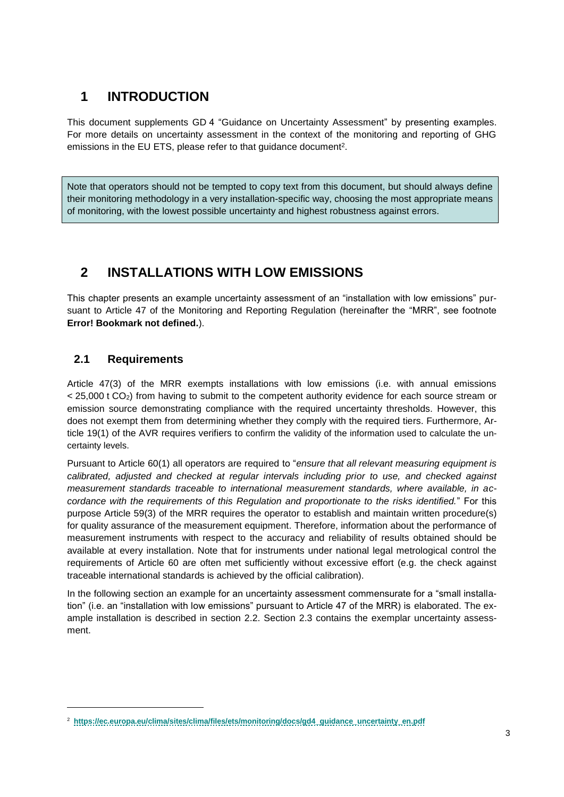## **1 INTRODUCTION**

This document supplements GD 4 "Guidance on Uncertainty Assessment" by presenting examples. For more details on uncertainty assessment in the context of the monitoring and reporting of GHG emissions in the EU ETS, please refer to that guidance document<sup>2</sup>.

Note that operators should not be tempted to copy text from this document, but should always define their monitoring methodology in a very installation-specific way, choosing the most appropriate means of monitoring, with the lowest possible uncertainty and highest robustness against errors.

## **2 INSTALLATIONS WITH LOW EMISSIONS**

This chapter presents an example uncertainty assessment of an "installation with low emissions" pursuant to Article 47 of the Monitoring and Reporting Regulation (hereinafter the "MRR", see footnote **Error! Bookmark not defined.**).

## **2.1 Requirements**

l

Article 47(3) of the MRR exempts installations with low emissions (i.e. with annual emissions < 25,000 t CO2) from having to submit to the competent authority evidence for each source stream or emission source demonstrating compliance with the required uncertainty thresholds. However, this does not exempt them from determining whether they comply with the required tiers. Furthermore, Article 19(1) of the AVR requires verifiers to confirm the validity of the information used to calculate the uncertainty levels.

Pursuant to Article 60(1) all operators are required to "*ensure that all relevant measuring equipment is calibrated, adjusted and checked at regular intervals including prior to use, and checked against measurement standards traceable to international measurement standards, where available, in accordance with the requirements of this Regulation and proportionate to the risks identified.*" For this purpose Article 59(3) of the MRR requires the operator to establish and maintain written procedure(s) for quality assurance of the measurement equipment. Therefore, information about the performance of measurement instruments with respect to the accuracy and reliability of results obtained should be available at every installation. Note that for instruments under national legal metrological control the requirements of Article 60 are often met sufficiently without excessive effort (e.g. the check against traceable international standards is achieved by the official calibration).

In the following section an example for an uncertainty assessment commensurate for a "small installation" (i.e. an "installation with low emissions" pursuant to Article 47 of the MRR) is elaborated. The example installation is described in section [2.2.](#page-3-0) Section [2.3](#page-5-0) contains the exemplar uncertainty assessment.

<sup>2</sup> **[https://ec.europa.eu/clima/sites/clima/files/ets/monitoring/docs/gd4\\_guidance\\_uncertainty\\_en.pdf](https://ec.europa.eu/clima/sites/clima/files/ets/monitoring/docs/gd4_guidance_uncertainty_en.pdf)**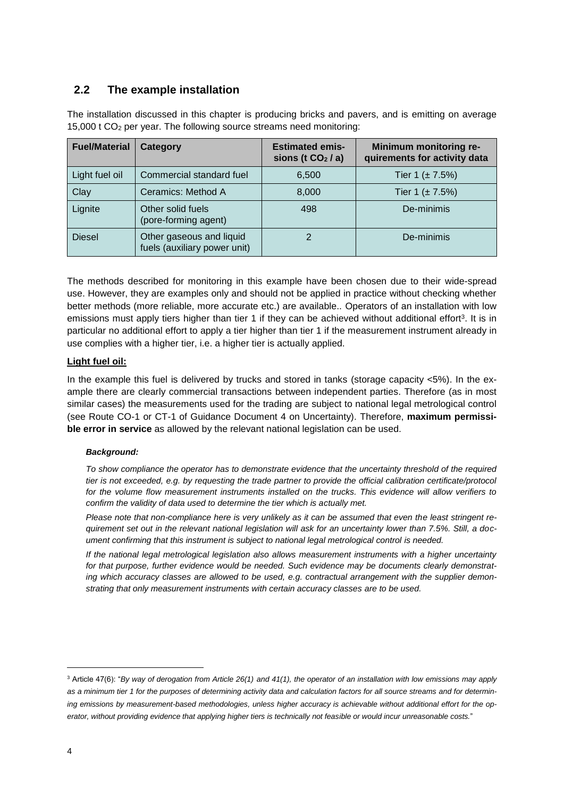### <span id="page-3-0"></span>**2.2 The example installation**

The installation discussed in this chapter is producing bricks and pavers, and is emitting on average 15,000 t CO<sup>2</sup> per year. The following source streams need monitoring:

| <b>Fuel/Material</b> | Category                                                 | <b>Estimated emis-</b><br>sions (t $CO2$ / a) | Minimum monitoring re-<br>quirements for activity data |
|----------------------|----------------------------------------------------------|-----------------------------------------------|--------------------------------------------------------|
| Light fuel oil       | Commercial standard fuel                                 | 6,500                                         | Tier 1 $(\pm 7.5%)$                                    |
| Clay                 | Ceramics: Method A                                       | 8,000                                         | Tier 1 $(\pm 7.5%)$                                    |
| Lignite              | Other solid fuels<br>(pore-forming agent)                | 498                                           | De-minimis                                             |
| <b>Diesel</b>        | Other gaseous and liquid<br>fuels (auxiliary power unit) |                                               | De-minimis                                             |

The methods described for monitoring in this example have been chosen due to their wide-spread use. However, they are examples only and should not be applied in practice without checking whether better methods (more reliable, more accurate etc.) are available.. Operators of an installation with low emissions must apply tiers higher than tier 1 if they can be achieved without additional effort<sup>3</sup>. It is in particular no additional effort to apply a tier higher than tier 1 if the measurement instrument already in use complies with a higher tier, i.e. a higher tier is actually applied.

#### **Light fuel oil:**

In the example this fuel is delivered by trucks and stored in tanks (storage capacity <5%). In the example there are clearly commercial transactions between independent parties. Therefore (as in most similar cases) the measurements used for the trading are subject to national legal metrological control (see Route CO-1 or CT-1 of Guidance Document 4 on Uncertainty). Therefore, **maximum permissible error in service** as allowed by the relevant national legislation can be used.

#### *Background:*

*To show compliance the operator has to demonstrate evidence that the uncertainty threshold of the required tier is not exceeded, e.g. by requesting the trade partner to provide the official calibration certificate/protocol for the volume flow measurement instruments installed on the trucks. This evidence will allow verifiers to confirm the validity of data used to determine the tier which is actually met.*

*Please note that non-compliance here is very unlikely as it can be assumed that even the least stringent requirement set out in the relevant national legislation will ask for an uncertainty lower than 7.5%. Still, a document confirming that this instrument is subject to national legal metrological control is needed.* 

*If the national legal metrological legislation also allows measurement instruments with a higher uncertainty for that purpose, further evidence would be needed. Such evidence may be documents clearly demonstrating which accuracy classes are allowed to be used, e.g. contractual arrangement with the supplier demonstrating that only measurement instruments with certain accuracy classes are to be used.* 

<sup>3</sup> Article 47(6): "*By way of derogation from Article 26(1) and 41(1), the operator of an installation with low emissions may apply*  as a minimum tier 1 for the purposes of determining activity data and calculation factors for all source streams and for determin*ing emissions by measurement-based methodologies, unless higher accuracy is achievable without additional effort for the operator, without providing evidence that applying higher tiers is technically not feasible or would incur unreasonable costs.*"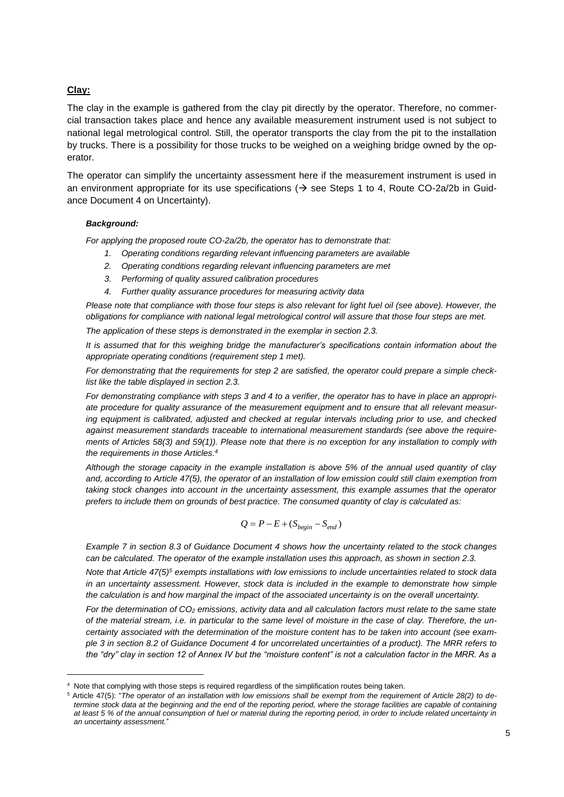#### **Clay:**

l

The clay in the example is gathered from the clay pit directly by the operator. Therefore, no commercial transaction takes place and hence any available measurement instrument used is not subject to national legal metrological control. Still, the operator transports the clay from the pit to the installation by trucks. There is a possibility for those trucks to be weighed on a weighing bridge owned by the operator.

The operator can simplify the uncertainty assessment here if the measurement instrument is used in an environment appropriate for its use specifications ( $\rightarrow$  see Steps 1 to 4, Route CO-2a/2b in Guidance Document 4 on Uncertainty).

#### *Background:*

*For applying the proposed route CO-2a/2b, the operator has to demonstrate that:* 

- *1. Operating conditions regarding relevant influencing parameters are available*
- *2. Operating conditions regarding relevant influencing parameters are met*
- *3. Performing of quality assured calibration procedures*
- *4. Further quality assurance procedures for measuring activity data*

*Please note that compliance with those four steps is also relevant for light fuel oil (see above). However, the obligations for compliance with national legal metrological control will assure that those four steps are met.*

*The application of these steps is demonstrated in the exemplar in section [2.3.](#page-5-0)*

*It is assumed that for this weighing bridge the manufacturer's specifications contain information about the appropriate operating conditions (requirement step 1 met).*

*For demonstrating that the requirements for step 2 are satisfied, the operator could prepare a simple checklist like the table displayed in section [2.3.](#page-5-0)* 

*For demonstrating compliance with steps 3 and 4 to a verifier, the operator has to have in place an appropriate procedure for quality assurance of the measurement equipment and to ensure that all relevant measuring equipment is calibrated, adjusted and checked at regular intervals including prior to use, and checked against measurement standards traceable to international measurement standards (see above the requirements of Articles 58(3) and 59(1)). Please note that there is no exception for any installation to comply with the requirements in those Articles.<sup>4</sup>*

*Although the storage capacity in the example installation is above 5% of the annual used quantity of clay*  and, according to Article 47(5), the operator of an installation of low emission could still claim exemption from *taking stock changes into account in the uncertainty assessment, this example assumes that the operator prefers to include them on grounds of best practice. The consumed quantity of clay is calculated as:*

$$
Q = P - E + (S_{begin} - S_{end})
$$

*Example 7 in section 8.3 of Guidance Document 4 shows how the uncertainty related to the stock changes can be calculated. The operator of the example installation uses this approach, as shown in section [2.3.](#page-5-0)*

*Note that Article 47(5)<sup>5</sup> exempts installations with low emissions to include uncertainties related to stock data in an uncertainty assessment. However, stock data is included in the example to demonstrate how simple the calculation is and how marginal the impact of the associated uncertainty is on the overall uncertainty.*

*For the determination of CO<sup>2</sup> emissions, activity data and all calculation factors must relate to the same state of the material stream, i.e. in particular to the same level of moisture in the case of clay. Therefore, the uncertainty associated with the determination of the moisture content has to be taken into account (see example 3 in section 8.2 of Guidance Document 4 for uncorrelated uncertainties of a product). The MRR refers to the "dry" clay in section 12 of Annex IV but the "moisture content" is not a calculation factor in the MRR. As a* 

Note that complying with those steps is required regardless of the simplification routes being taken.

<sup>5</sup> Article 47(5): "*The operator of an installation with low emissions shall be exempt from the requirement of Article 28(2) to de*termine stock data at the beginning and the end of the reporting period, where the storage facilities are capable of containing *at least 5 % of the annual consumption of fuel or material during the reporting period, in order to include related uncertainty in an uncertainty assessment.*"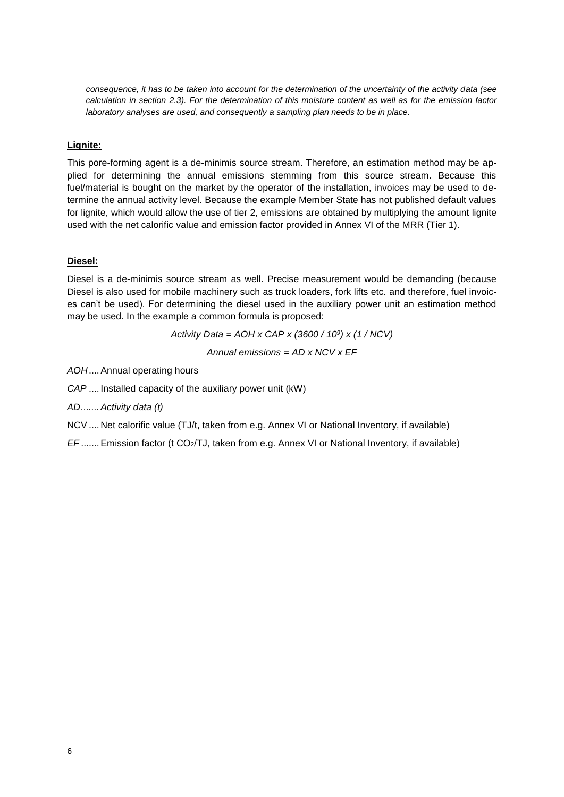*consequence, it has to be taken into account for the determination of the uncertainty of the activity data (see calculation in section [2.3\)](#page-5-0). For the determination of this moisture content as well as for the emission factor laboratory analyses are used, and consequently a sampling plan needs to be in place.* 

#### **Lignite:**

This pore-forming agent is a de-minimis source stream. Therefore, an estimation method may be applied for determining the annual emissions stemming from this source stream. Because this fuel/material is bought on the market by the operator of the installation, invoices may be used to determine the annual activity level. Because the example Member State has not published default values for lignite, which would allow the use of tier 2, emissions are obtained by multiplying the amount lignite used with the net calorific value and emission factor provided in Annex VI of the MRR (Tier 1).

#### **Diesel:**

Diesel is a de-minimis source stream as well. Precise measurement would be demanding (because Diesel is also used for mobile machinery such as truck loaders, fork lifts etc. and therefore, fuel invoices can't be used). For determining the diesel used in the auxiliary power unit an estimation method may be used. In the example a common formula is proposed:

*Activity Data = AOH x CAP x (3600 / 10<sup>9</sup> ) x (1 / NCV)*

*Annual emissions = AD x NCV x EF*

*AOH*....Annual operating hours

*CAP* .... Installed capacity of the auxiliary power unit (kW)

*AD.......Activity data (t)*

NCV ....Net calorific value (TJ/t, taken from e.g. Annex VI or National Inventory, if available)

<span id="page-5-0"></span>*EF* .......Emission factor (t CO2/TJ, taken from e.g. Annex VI or National Inventory, if available)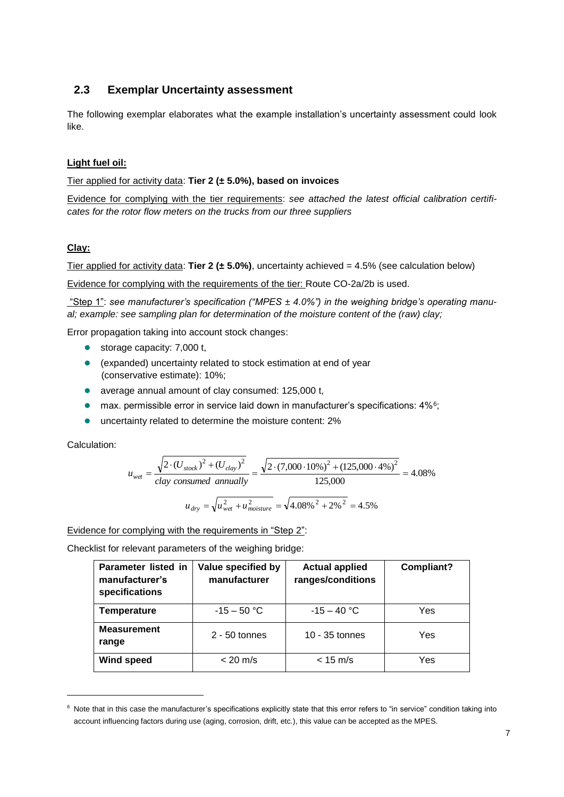### **2.3 Exemplar Uncertainty assessment**

The following exemplar elaborates what the example installation's uncertainty assessment could look like.

#### **Light fuel oil:**

Tier applied for activity data: **Tier 2 (± 5.0%), based on invoices**

Evidence for complying with the tier requirements: *see attached the latest official calibration certificates for the rotor flow meters on the trucks from our three suppliers*

#### **Clay:**

Tier applied for activity data: **Tier 2 (± 5.0%)**, uncertainty achieved = 4.5% (see calculation below)

Evidence for complying with the requirements of the tier: Route CO-2a/2b is used.

"Step 1": *see manufacturer's specification ("MPES ± 4.0%") in the weighing bridge's operating manual; example: see sampling plan for determination of the moisture content of the (raw) clay;*

Error propagation taking into account stock changes:

- storage capacity: 7,000 t,
- (expanded) uncertainty related to stock estimation at end of year (conservative estimate): 10%;
- average annual amount of clay consumed: 125,000 t,
- max. permissible error in service laid down in manufacturer's specifications: 4%<sup>6</sup>;
- **•** uncertainty related to determine the moisture content: 2%

Calculation:

l

$$
u_{wet} = \frac{\sqrt{2 \cdot (U_{stock})^2 + (U_{clay})^2}}{clay\ consumed\ annually} = \frac{\sqrt{2 \cdot (7,000 \cdot 10\%)^2 + (125,000 \cdot 4\%)^2}}{125,000} = 4.08\%
$$
  

$$
u_{dry} = \sqrt{u_{wet}^2 + u_{moisture}^2} = \sqrt{4.08\%^2 + 2\%^2} = 4.5\%
$$

$$
x_1 \in \mathcal{X}_1 \cup \mathcal{X}_2 \cup \mathcal{X}_3 \cup \mathcal{X}_4 \cup \mathcal{X}_5 \cup \mathcal{X}_6
$$

Evidence for complying with the requirements in "Step 2":

Checklist for relevant parameters of the weighing bridge:

| Parameter listed in<br>manufacturer's<br>specifications | Value specified by<br>manufacturer | <b>Actual applied</b><br>ranges/conditions | Compliant? |
|---------------------------------------------------------|------------------------------------|--------------------------------------------|------------|
| Temperature                                             | $-15 - 50$ °C                      | $-15 - 40$ °C                              | Yes        |
| <b>Measurement</b><br>range                             | $2 - 50$ tonnes                    | $10 - 35$ tonnes                           | Yes        |
| <b>Wind speed</b>                                       | $< 20$ m/s                         | $< 15$ m/s                                 | Yes        |

<sup>&</sup>lt;sup>6</sup> Note that in this case the manufacturer's specifications explicitly state that this error refers to "in service" condition taking into account influencing factors during use (aging, corrosion, drift, etc.), this value can be accepted as the MPES.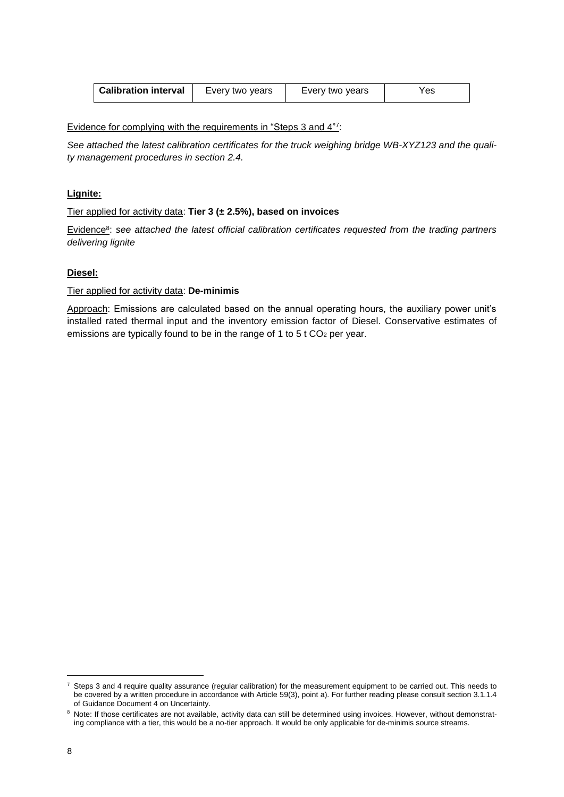| <b>Calibration interval</b> | Every two years | Every two years | res |
|-----------------------------|-----------------|-----------------|-----|
|-----------------------------|-----------------|-----------------|-----|

Evidence for complying with the requirements in "Steps 3 and 4" 7 :

*See attached the latest calibration certificates for the truck weighing bridge WB-XYZ123 and the quality management procedures in section [2.4.](#page-7-0)*

#### **Lignite:**

Tier applied for activity data: **Tier 3 (± 2.5%), based on invoices**

Evidence<sup>8</sup> : *see attached the latest official calibration certificates requested from the trading partners delivering lignite*

#### **Diesel:**

#### Tier applied for activity data: **De-minimis**

<span id="page-7-0"></span>Approach: Emissions are calculated based on the annual operating hours, the auxiliary power unit's installed rated thermal input and the inventory emission factor of Diesel. Conservative estimates of emissions are typically found to be in the range of 1 to 5 t  $CO<sub>2</sub>$  per year.

<sup>7</sup> Steps 3 and 4 require quality assurance (regular calibration) for the measurement equipment to be carried out. This needs to be covered by a written procedure in accordance with Article 59(3), point a). For further reading please consult section 3.1.1.4 of Guidance Document 4 on Uncertainty.

<sup>&</sup>lt;sup>8</sup> Note: If those certificates are not available, activity data can still be determined using invoices. However, without demonstrating compliance with a tier, this would be a no-tier approach. It would be only applicable for de-minimis source streams.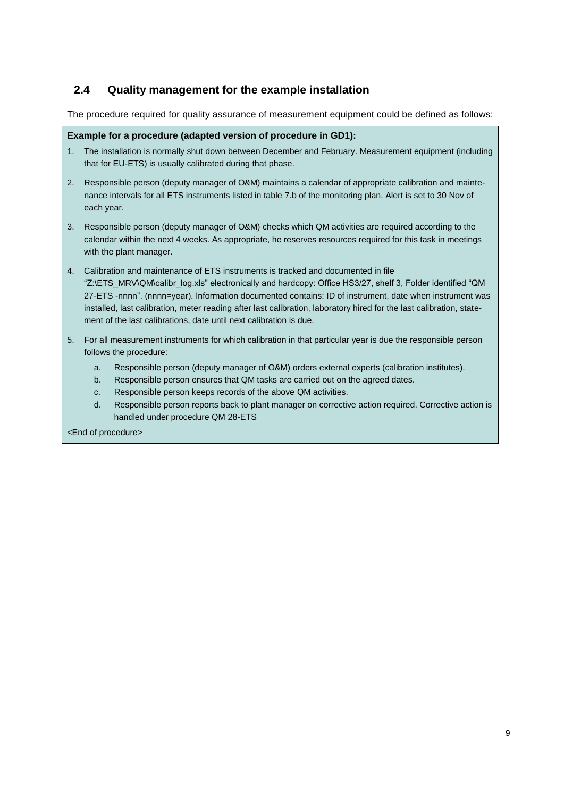### **2.4 Quality management for the example installation**

The procedure required for quality assurance of measurement equipment could be defined as follows:

#### **Example for a procedure (adapted version of procedure in GD1):**

- 1. The installation is normally shut down between December and February. Measurement equipment (including that for EU-ETS) is usually calibrated during that phase.
- 2. Responsible person (deputy manager of O&M) maintains a calendar of appropriate calibration and maintenance intervals for all ETS instruments listed in table 7.b of the monitoring plan. Alert is set to 30 Nov of each year.
- 3. Responsible person (deputy manager of O&M) checks which QM activities are required according to the calendar within the next 4 weeks. As appropriate, he reserves resources required for this task in meetings with the plant manager.
- 4. Calibration and maintenance of ETS instruments is tracked and documented in file "Z:\ETS\_MRV\QM\calibr\_log.xls" electronically and hardcopy: Office HS3/27, shelf 3, Folder identified "QM 27-ETS -nnnn". (nnnn=year). Information documented contains: ID of instrument, date when instrument was installed, last calibration, meter reading after last calibration, laboratory hired for the last calibration, statement of the last calibrations, date until next calibration is due.
- 5. For all measurement instruments for which calibration in that particular year is due the responsible person follows the procedure:
	- a. Responsible person (deputy manager of O&M) orders external experts (calibration institutes).
	- b. Responsible person ensures that QM tasks are carried out on the agreed dates.
	- c. Responsible person keeps records of the above QM activities.
	- d. Responsible person reports back to plant manager on corrective action required. Corrective action is handled under procedure QM 28-ETS

<End of procedure>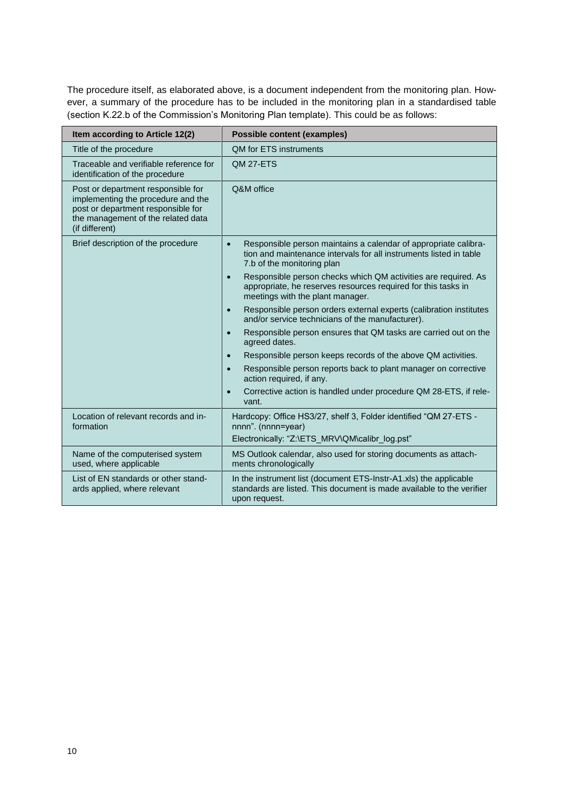The procedure itself, as elaborated above, is a document independent from the monitoring plan. However, a summary of the procedure has to be included in the monitoring plan in a standardised table (section K.22.b of the Commission's Monitoring Plan template). This could be as follows:

| Item according to Article 12(2)                                                                                                                                        | <b>Possible content (examples)</b>                                                                                                                                               |
|------------------------------------------------------------------------------------------------------------------------------------------------------------------------|----------------------------------------------------------------------------------------------------------------------------------------------------------------------------------|
| Title of the procedure                                                                                                                                                 | <b>OM for ETS instruments</b>                                                                                                                                                    |
| Traceable and verifiable reference for<br>identification of the procedure                                                                                              | QM 27-ETS                                                                                                                                                                        |
| Post or department responsible for<br>implementing the procedure and the<br>post or department responsible for<br>the management of the related data<br>(if different) | Q&M office                                                                                                                                                                       |
| Brief description of the procedure                                                                                                                                     | Responsible person maintains a calendar of appropriate calibra-<br>$\bullet$<br>tion and maintenance intervals for all instruments listed in table<br>7.b of the monitoring plan |
|                                                                                                                                                                        | Responsible person checks which QM activities are required. As<br>appropriate, he reserves resources required for this tasks in<br>meetings with the plant manager.              |
|                                                                                                                                                                        | Responsible person orders external experts (calibration institutes<br>$\bullet$<br>and/or service technicians of the manufacturer).                                              |
|                                                                                                                                                                        | Responsible person ensures that QM tasks are carried out on the<br>agreed dates.                                                                                                 |
|                                                                                                                                                                        | Responsible person keeps records of the above QM activities.                                                                                                                     |
|                                                                                                                                                                        | Responsible person reports back to plant manager on corrective<br>action required, if any.                                                                                       |
|                                                                                                                                                                        | Corrective action is handled under procedure QM 28-ETS, if rele-<br>vant.                                                                                                        |
| Location of relevant records and in-<br>formation                                                                                                                      | Hardcopy: Office HS3/27, shelf 3, Folder identified "QM 27-ETS -<br>nnnn". (nnnn=year)                                                                                           |
|                                                                                                                                                                        | Electronically: "Z:\ETS_MRV\QM\calibr log.pst"                                                                                                                                   |
| Name of the computerised system<br>used, where applicable                                                                                                              | MS Outlook calendar, also used for storing documents as attach-<br>ments chronologically                                                                                         |
| List of EN standards or other stand-<br>ards applied, where relevant                                                                                                   | In the instrument list (document ETS-Instr-A1.xls) the applicable<br>standards are listed. This document is made available to the verifier<br>upon request.                      |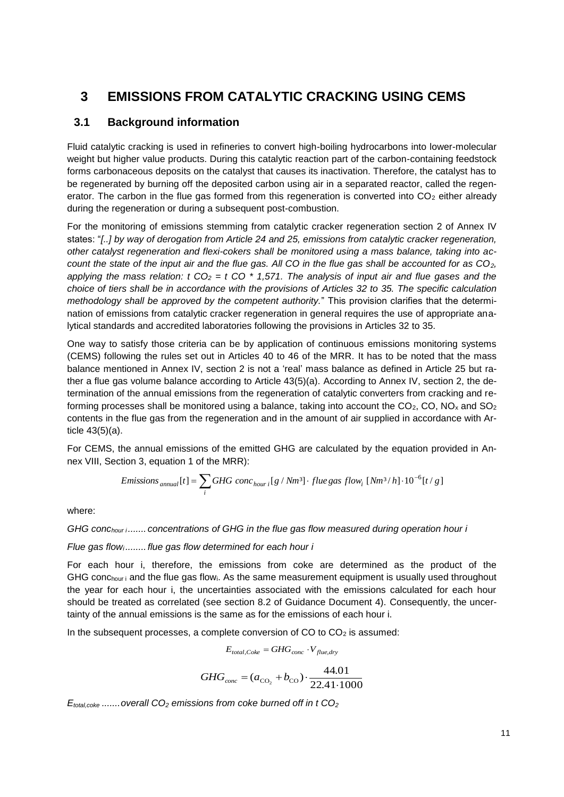## **3 EMISSIONS FROM CATALYTIC CRACKING USING CEMS**

### **3.1 Background information**

Fluid catalytic cracking is used in refineries to convert high-boiling hydrocarbons into lower-molecular weight but higher value products. During this catalytic reaction part of the carbon-containing feedstock forms carbonaceous deposits on the catalyst that causes its inactivation. Therefore, the catalyst has to be regenerated by burning off the deposited carbon using air in a separated reactor, called the regenerator. The carbon in the flue gas formed from this regeneration is converted into  $CO<sub>2</sub>$  either already during the regeneration or during a subsequent post-combustion.

For the monitoring of emissions stemming from catalytic cracker regeneration section 2 of Annex IV states: "*[..] by way of derogation from Article 24 and 25, emissions from catalytic cracker regeneration, other catalyst regeneration and flexi-cokers shall be monitored using a mass balance, taking into account the state of the input air and the flue gas. All CO in the flue gas shall be accounted for as CO2,*  applying the mass relation: t  $CO_2 = t CO^*$  1,571. The analysis of input air and flue gases and the *choice of tiers shall be in accordance with the provisions of Articles 32 to 35. The specific calculation methodology shall be approved by the competent authority.*" This provision clarifies that the determination of emissions from catalytic cracker regeneration in general requires the use of appropriate analytical standards and accredited laboratories following the provisions in Articles 32 to 35.

One way to satisfy those criteria can be by application of continuous emissions monitoring systems (CEMS) following the rules set out in Articles 40 to 46 of the MRR. It has to be noted that the mass balance mentioned in Annex IV, section 2 is not a 'real' mass balance as defined in Article 25 but rather a flue gas volume balance according to Article 43(5)(a). According to Annex IV, section 2, the determination of the annual emissions from the regeneration of catalytic converters from cracking and reforming processes shall be monitored using a balance, taking into account the  $CO<sub>2</sub>$ , CO, NO<sub>x</sub> and SO<sub>2</sub> contents in the flue gas from the regeneration and in the amount of air supplied in accordance with Article 43(5)(a).

For CEMS, the annual emissions of the emitted GHG are calculated by the equation provided in Annex VIII, Section 3, equation 1 of the MRR):

*Emissions* <sub>annual</sub>[*t*] = 
$$
\sum_i GHG
$$
 *conc* <sub>hour i</sub>[*g* / *Nm*<sup>3</sup>] *· flue gas flow*<sub>*i*</sub> [*Nm*<sup>3</sup> / *h*]  $\cdot 10^{-6}$ [*t* / *g*]

where:

*GHG conchour i....... concentrations of GHG in the flue gas flow measured during operation hour i*

*Flue gas flowi........ flue gas flow determined for each hour i*

For each hour i, therefore, the emissions from coke are determined as the product of the GHG conchour i and the flue gas flowi. As the same measurement equipment is usually used throughout the year for each hour i, the uncertainties associated with the emissions calculated for each hour should be treated as correlated (see section 8.2 of Guidance Document 4). Consequently, the uncertainty of the annual emissions is the same as for the emissions of each hour i.

In the subsequent processes, a complete conversion of  $CO$  to  $CO<sub>2</sub>$  is assumed:

$$
E_{total, Coke} = GHG_{conc} \cdot V_{flue, dry}
$$

$$
GHG_{conc} = (a_{\text{CO}_2} + b_{\text{CO}}) \cdot \frac{44.01}{22.41 \cdot 1000}
$$

*Etotal,coke .......overall CO<sup>2</sup> emissions from coke burned off in t CO<sup>2</sup>*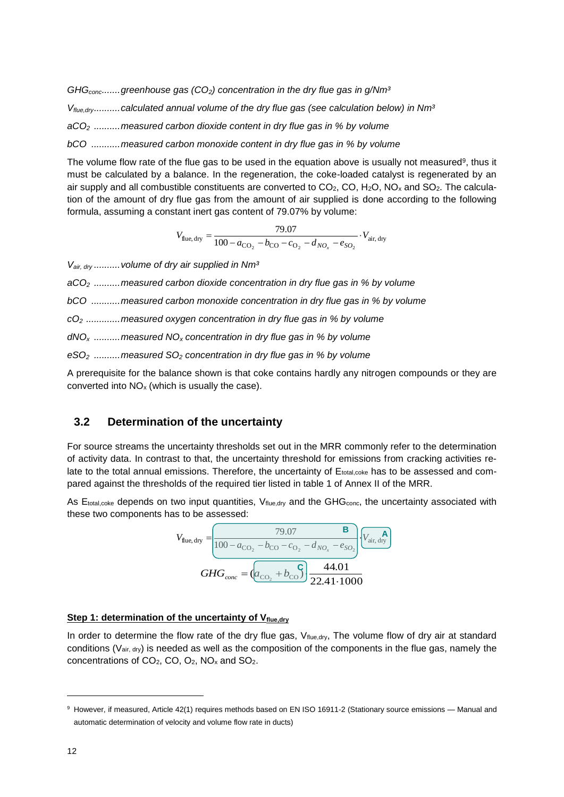*GHGconc.......greenhouse gas (CO2) concentration in the dry flue gas in g/Nm³*

*Vflue,dry..........calculated annual volume of the dry flue gas (see calculation below) in Nm³*

*aCO<sup>2</sup> ..........measured carbon dioxide content in dry flue gas in % by volume*

*bCO ...........measured carbon monoxide content in dry flue gas in % by volume*

The volume flow rate of the flue gas to be used in the equation above is usually not measured<sup>9</sup>, thus it must be calculated by a balance. In the regeneration, the coke-loaded catalyst is regenerated by an air supply and all combustible constituents are converted to  $CO<sub>2</sub>$ ,  $CO$ ,  $H<sub>2</sub>O$ ,  $NO<sub>x</sub>$  and  $SO<sub>2</sub>$ . The calculation of the amount of dry flue gas from the amount of air supplied is done according to the following formula, assuming a constant inert gas content of 79.07% by volume:

$$
V_{\text{flue, dry}} = \frac{79.07}{100 - a_{\text{CO}_2} - b_{\text{CO}} - c_{\text{O}_2} - d_{NO_x} - e_{SO_2}} \cdot V_{\text{air, dry}}
$$

*Vair, dry ..........volume of dry air supplied in Nm³* 

*aCO<sup>2</sup> ..........measured carbon dioxide concentration in dry flue gas in % by volume*

*bCO ...........measured carbon monoxide concentration in dry flue gas in % by volume*

*cO<sup>2</sup> .............measured oxygen concentration in dry flue gas in % by volume*

*dNO<sup>x</sup> ..........measured NO<sup>x</sup> concentration in dry flue gas in % by volume*

*eSO<sup>2</sup> ..........measured SO<sup>2</sup> concentration in dry flue gas in % by volume*

A prerequisite for the balance shown is that coke contains hardly any nitrogen compounds or they are converted into  $NO<sub>x</sub>$  (which is usually the case).

#### **3.2 Determination of the uncertainty**

For source streams the uncertainty thresholds set out in the MRR commonly refer to the determination of activity data. In contrast to that, the uncertainty threshold for emissions from cracking activities relate to the total annual emissions. Therefore, the uncertainty of Etotal,coke has to be assessed and compared against the thresholds of the required tier listed in table 1 of Annex II of the MRR.

As  $E_{total,ooke}$  depends on two input quantities,  $V_{flue, dry}$  and the  $GHG_{conc}$ , the uncertainty associated with these two components has to be assessed:

$$
V_{\text{flue, dry}} = \frac{79.07}{100 - a_{\text{CO}_2} - b_{\text{CO}} - c_{\text{O}_2} - d_{\text{NO}_x} - e_{\text{SO}_2}} \left( \frac{\mathbf{A}}{V_{\text{air, dry}}} \right)
$$

$$
GHG_{conc} = \left( a_{\text{CO}_2} + b_{\text{CO}} \right) \frac{44.01}{22.41 \cdot 1000}
$$

#### Step 1: determination of the uncertainty of V<sub>flue,dry</sub>

In order to determine the flow rate of the dry flue gas, Vflue,dry, The volume flow of dry air at standard conditions (Vair, dry) is needed as well as the composition of the components in the flue gas, namely the concentrations of CO2, CO, O2, NO<sup>x</sup> and SO2.

<sup>&</sup>lt;sup>9</sup> However, if measured, Article 42(1) requires methods based on EN ISO 16911-2 (Stationary source emissions - Manual and automatic determination of velocity and volume flow rate in ducts)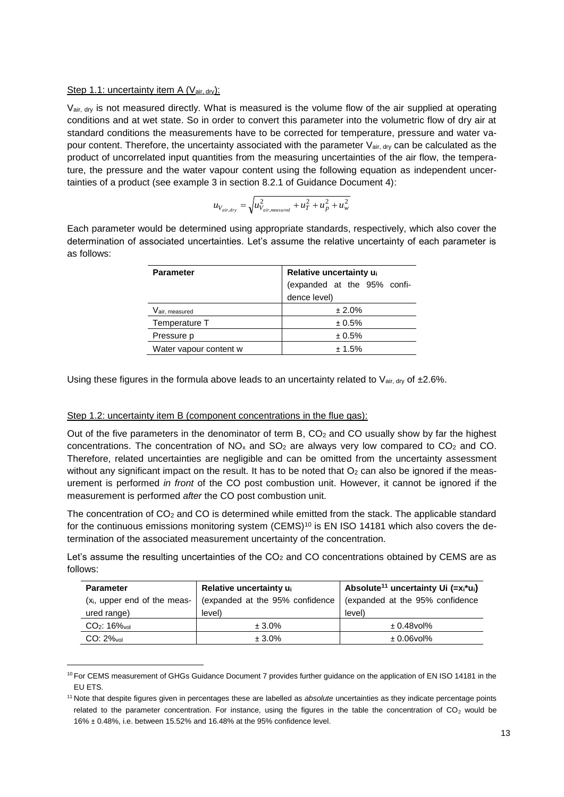#### Step 1.1: uncertainty item A (Vair, dry):

l

Vair, dry is not measured directly. What is measured is the volume flow of the air supplied at operating conditions and at wet state. So in order to convert this parameter into the volumetric flow of dry air at standard conditions the measurements have to be corrected for temperature, pressure and water vapour content. Therefore, the uncertainty associated with the parameter  $V_{air, dry}$  can be calculated as the product of uncorrelated input quantities from the measuring uncertainties of the air flow, the temperature, the pressure and the water vapour content using the following equation as independent uncertainties of a product (see example 3 in section 8.2.1 of Guidance Document 4):

$$
u_{V_{air, dry}} = \sqrt{u_{V_{air, measured}}^2 + u_T^2 + u_p^2 + u_w^2}
$$

Each parameter would be determined using appropriate standards, respectively, which also cover the determination of associated uncertainties. Let's assume the relative uncertainty of each parameter is as follows:

| <b>Parameter</b>       | Relative uncertainty ui     |  |
|------------------------|-----------------------------|--|
|                        | (expanded at the 95% confi- |  |
|                        | dence level)                |  |
| Vair, measured         | ± 2.0%                      |  |
| Temperature T          | ± 0.5%                      |  |
| Pressure p             | ± 0.5%                      |  |
| Water vapour content w | $+1.5%$                     |  |

Using these figures in the formula above leads to an uncertainty related to  $V_{air, dry}$  of  $±2.6\%$ .

#### Step 1.2: uncertainty item B (component concentrations in the flue gas):

Out of the five parameters in the denominator of term B,  $CO<sub>2</sub>$  and CO usually show by far the highest concentrations. The concentration of  $NO<sub>x</sub>$  and  $SO<sub>2</sub>$  are always very low compared to  $CO<sub>2</sub>$  and CO. Therefore, related uncertainties are negligible and can be omitted from the uncertainty assessment without any significant impact on the result. It has to be noted that  $O<sub>2</sub>$  can also be ignored if the measurement is performed *in front* of the CO post combustion unit. However, it cannot be ignored if the measurement is performed *after* the CO post combustion unit.

The concentration of CO<sub>2</sub> and CO is determined while emitted from the stack. The applicable standard for the continuous emissions monitoring system (CEMS)<sup>10</sup> is EN ISO 14181 which also covers the determination of the associated measurement uncertainty of the concentration.

Let's assume the resulting uncertainties of the  $CO<sub>2</sub>$  and CO concentrations obtained by CEMS are as follows:

| <b>Parameter</b>                         | Relative uncertainty u <sub>i</sub> | Absolute <sup>11</sup> uncertainty Ui (= $x_i^*u_i$ ) |
|------------------------------------------|-------------------------------------|-------------------------------------------------------|
| (x <sub>i</sub> , upper end of the meas- | (expanded at the 95% confidence     | (expanded at the 95% confidence                       |
| ured range)                              | level)                              | level)                                                |
| $CO2: 16$ <sub>Yovol</sub>               | $± 3.0\%$                           | $± 0.48$ vol $%$                                      |
| $CO: 2\%$ <sub>vol</sub>                 | $± 3.0\%$                           | $±0.06$ vol $%$                                       |

<sup>&</sup>lt;sup>10</sup> For CEMS measurement of GHGs Guidance Document 7 provides further guidance on the application of EN ISO 14181 in the EU ETS.

<sup>11</sup> Note that despite figures given in percentages these are labelled as *absolute* uncertainties as they indicate percentage points related to the parameter concentration. For instance, using the figures in the table the concentration of  $CO<sub>2</sub>$  would be 16% ± 0.48%, i.e. between 15.52% and 16.48% at the 95% confidence level.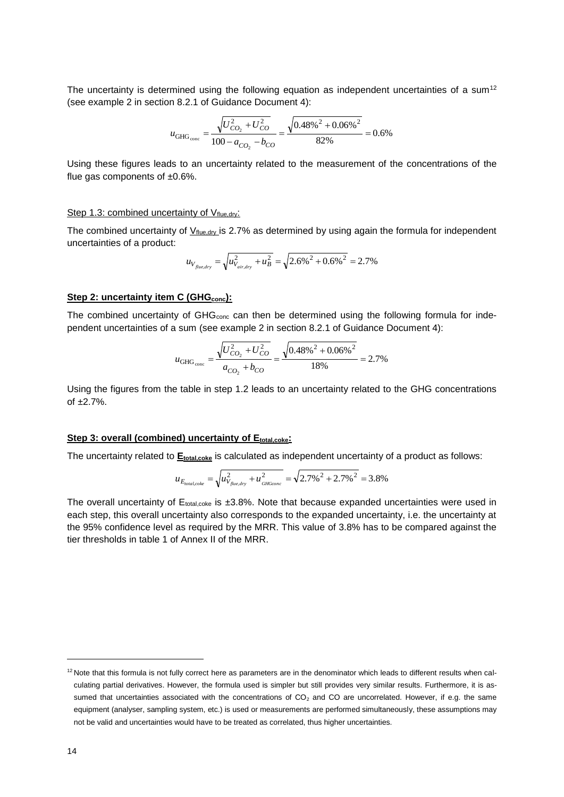The uncertainty is determined using the following equation as independent uncertainties of a sum<sup>12</sup> (see example 2 in section 8.2.1 of Guidance Document 4):

$$
u_{\text{GHG}_{\text{conc}}} = \frac{\sqrt{U_{CO_2}^2 + U_{CO}^2}}{100 - a_{CO_2} - b_{CO}} = \frac{\sqrt{0.48\%^2 + 0.06\%^2}}{82\%} = 0.6\%
$$

Using these figures leads to an uncertainty related to the measurement of the concentrations of the flue gas components of  $±0.6\%$ .

#### Step 1.3: combined uncertainty of Vflue,dry:

The combined uncertainty of  $Y<sub>flue, dry</sub>$  is 2.7% as determined by using again the formula for independent</u> uncertainties of a product:

$$
u_{V_{flue, dry}} = \sqrt{u_{V_{air, dry}}^2 + u_B^2} = \sqrt{2.6\%^2 + 0.6\%^2} = 2.7\%
$$

#### **Step 2: uncertainty item C (GHGconc):**

The combined uncertainty of GHG<sub>conc</sub> can then be determined using the following formula for independent uncertainties of a sum (see example 2 in section 8.2.1 of Guidance Document 4):

$$
u_{\text{GHG}_{\text{conc}}} = \frac{\sqrt{U_{CO_2}^2 + U_{CO}^2}}{a_{CO_2} + b_{CO}} = \frac{\sqrt{0.48\%^2 + 0.06\%^2}}{18\%} = 2.7\%
$$

Using the figures from the table in step 1.2 leads to an uncertainty related to the GHG concentrations of  $+2.7\%$ .

#### **Step 3: overall (combined) uncertainty of Etotal,coke:**

The uncertainty related to **E**<sub>total,coke</sub> is calculated as independent uncertainty of a product as follows:

$$
u_{E_{total, coke}} = \sqrt{u_{V_{flue, dry}}^2 + u_{\text{GHGcone}}^2} = \sqrt{2.7\%^2 + 2.7\%^2} = 3.8\%
$$

The overall uncertainty of  $E_{total,code}$  is  $\pm 3.8\%$ . Note that because expanded uncertainties were used in each step, this overall uncertainty also corresponds to the expanded uncertainty, i.e. the uncertainty at the 95% confidence level as required by the MRR. This value of 3.8% has to be compared against the tier thresholds in table 1 of Annex II of the MRR.

<sup>&</sup>lt;sup>12</sup> Note that this formula is not fully correct here as parameters are in the denominator which leads to different results when calculating partial derivatives. However, the formula used is simpler but still provides very similar results. Furthermore, it is assumed that uncertainties associated with the concentrations of  $CO<sub>2</sub>$  and  $CO$  are uncorrelated. However, if e.g. the same equipment (analyser, sampling system, etc.) is used or measurements are performed simultaneously, these assumptions may not be valid and uncertainties would have to be treated as correlated, thus higher uncertainties.